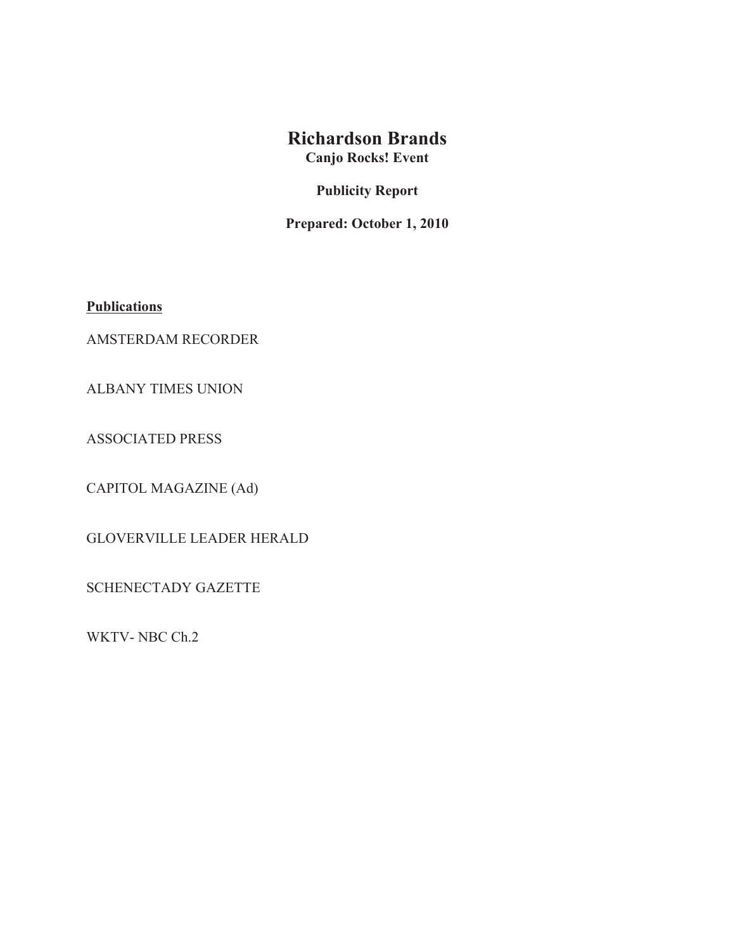## **Richardson Brands**

**Canjo Rocks! Event**

**Publicity Report**

**Prepared: October 1, 2010**

**Publications**

AMSTERDAM RECORDER

ALBANY TIMES UNION

ASSOCIATED PRESS

CAPITOL MAGAZINE (Ad)

GLOVERVILLE LEADER HERALD

SCHENECTADY GAZETTE

WKTV- NBC Ch.2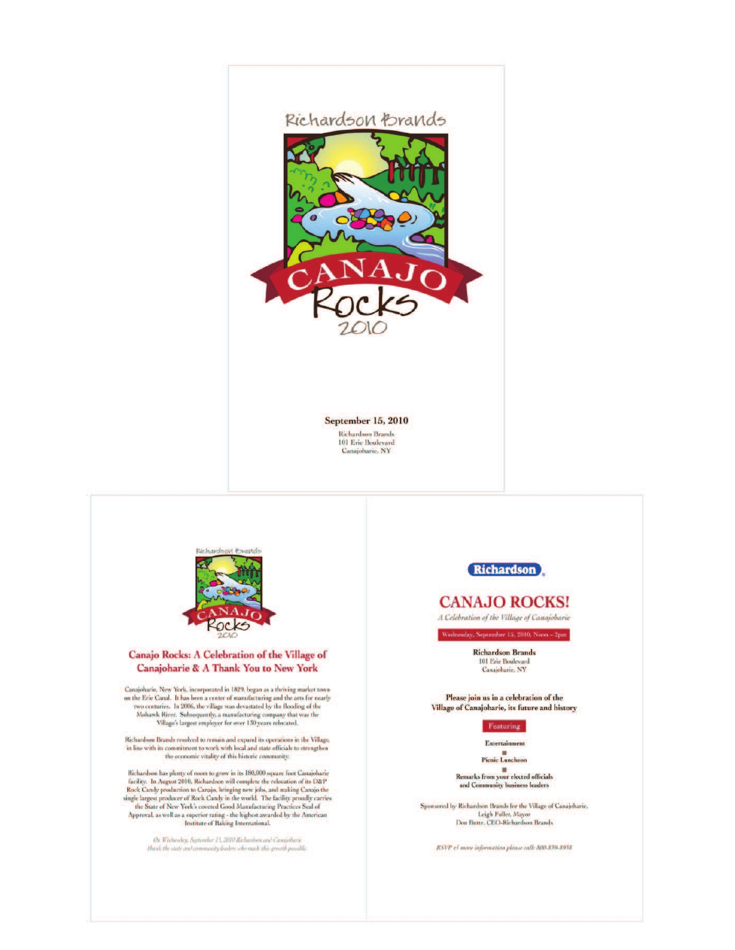

**September 15, 2010** 

**Richardson Brands** 101 Erie Boulevard Canajoharie, NY



#### Canajo Rocks: A Celebration of the Village of Canajoharie & A Thank You to New York

Canajoharie, New York, incorporated in 1829, began as a thriving market town on the Erie Canal. It has been a center of manufacturing and the arts for nearly two centuries. In 2006, the village was devastated by the flooding of the  $\label{thm:subspace} \mbox{Mohawk River. Subsequently, a manufacturing company that was the  
Village's largest employer for over 130 years released.}$ 

 $\label{thm:main} {\rm Richardson~Brands~resolved~to~remain~and~expand~its~operations~in~the~Village},$  in line with its commitment to work with local and state officials to strengthen the economic vitality of this historic community.

Richardson has plenty of room to grow in its 180,000 square foot Canajoharie NET TRANSIS TO THE RESEARCH TO THE RESEARCH TRANSIS TO THE RESEARCH TRANSIS TO RESEARCH TRANSIS TO RESEARCH TRANSIS TO RESEARCH THE RESEARCH TRANSIS TO THE RESEARCH THE RESEARCH THE RESEARCH THE STATE THE RESEARCH THE STAT

.<br>On Webnookry, September 15, 2010 Richardoon and Canajobarie<br>Usank the state and community leaders who made this growth possible.



#### **CANAJO ROCKS!**

A Celebration of the Village of Canajobarie

sday, September 15, 2010, Noon - 2pm

**Richardson Brands** 101 Erie Boulevard<br>Canajoharie, NY

Please join us in a celebration of the Village of Canajoharie, its future and history

Featuring

Entertainment

Pienie Luncheon

Remarks from your elected officials and Community business leaders

 $\label{thm:main} {\rm Sponsored}\ by\ Richardson\ Brands for the Village of Canajoharie.\\ Leigh Fuller, Mayor\\ Dom Batte, CEC-Richardson\ Brands$ 

RSVP e3 more information please call: 800-839-8958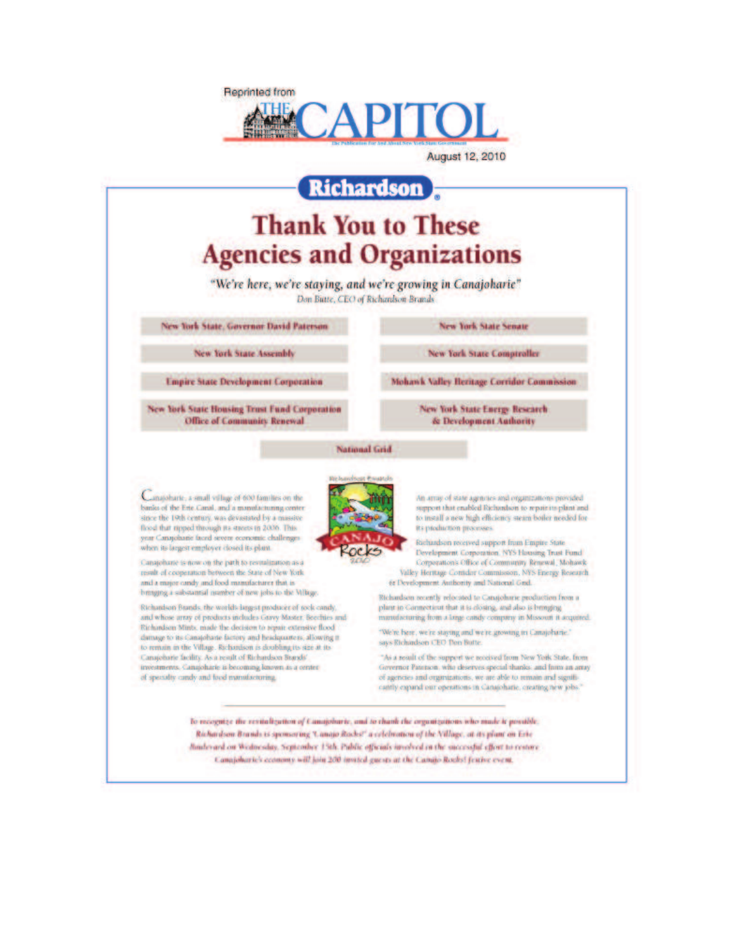

August 12, 2010

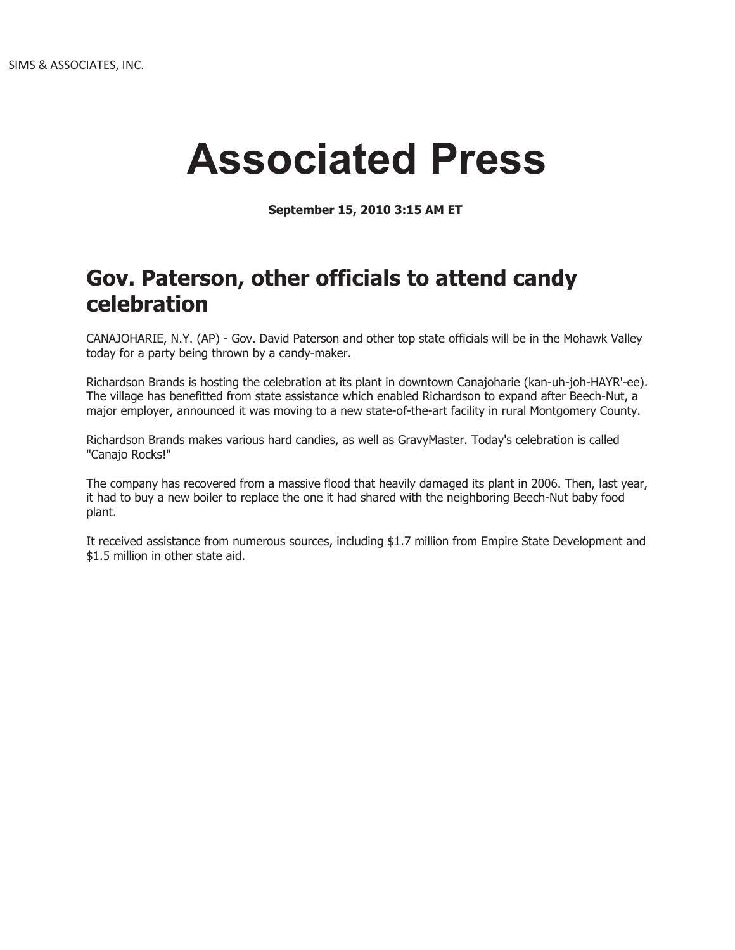# **Associated Press**

**September 15, 2010 3:15 AM ET** 

## **Gov. Paterson, other officials to attend candy celebration**

CANAJOHARIE, N.Y. (AP) - Gov. David Paterson and other top state officials will be in the Mohawk Valley today for a party being thrown by a candy-maker.

Richardson Brands is hosting the celebration at its plant in downtown Canajoharie (kan-uh-joh-HAYR'-ee). The village has benefitted from state assistance which enabled Richardson to expand after Beech-Nut, a major employer, announced it was moving to a new state-of-the-art facility in rural Montgomery County.

Richardson Brands makes various hard candies, as well as GravyMaster. Today's celebration is called "Canajo Rocks!"

The company has recovered from a massive flood that heavily damaged its plant in 2006. Then, last year, it had to buy a new boiler to replace the one it had shared with the neighboring Beech-Nut baby food plant.

It received assistance from numerous sources, including \$1.7 million from Empire State Development and \$1.5 million in other state aid.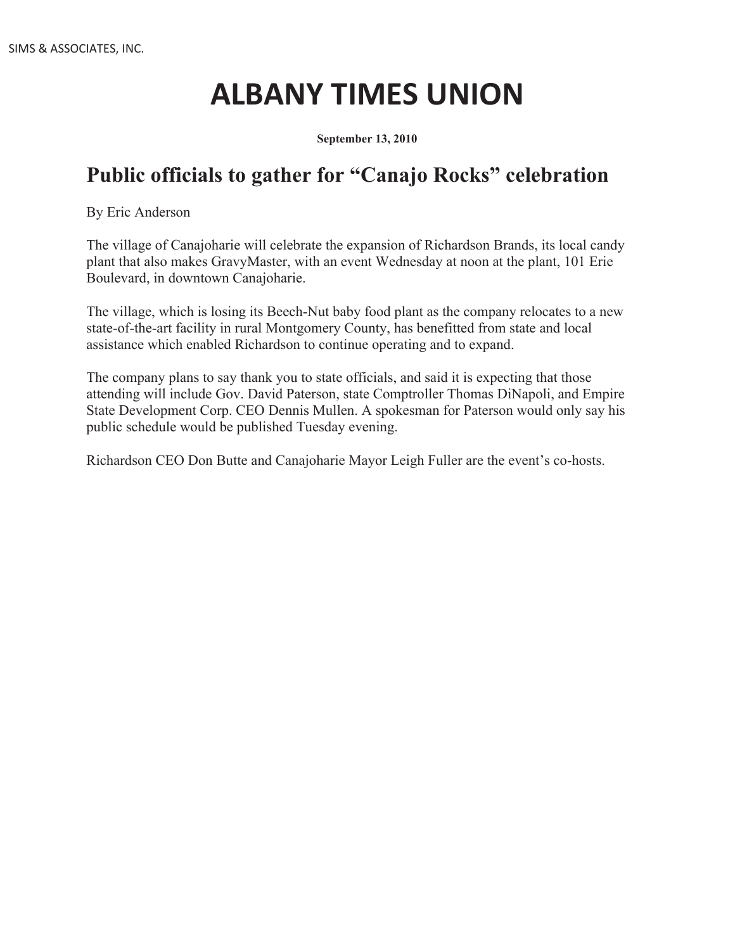# **ALBANY TIMES UNION**

**September 13, 2010**

## **Public officials to gather for "Canajo Rocks" celebration**

By Eric Anderson

The village of Canajoharie will celebrate the expansion of Richardson Brands, its local candy plant that also makes GravyMaster, with an event Wednesday at noon at the plant, 101 Erie Boulevard, in downtown Canajoharie.

The village, which is losing its Beech-Nut baby food plant as the company relocates to a new state-of-the-art facility in rural Montgomery County, has benefitted from state and local assistance which enabled Richardson to continue operating and to expand.

The company plans to say thank you to state officials, and said it is expecting that those attending will include Gov. David Paterson, state Comptroller Thomas DiNapoli, and Empire State Development Corp. CEO Dennis Mullen. A spokesman for Paterson would only say his public schedule would be published Tuesday evening.

Richardson CEO Don Butte and Canajoharie Mayor Leigh Fuller are the event's co-hosts.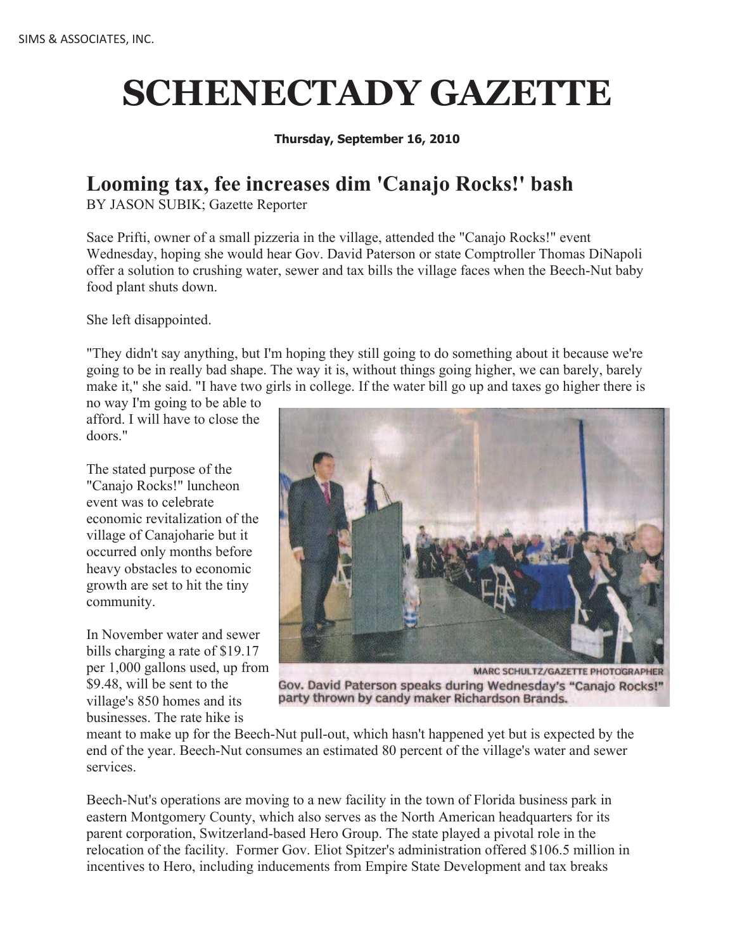# **SCHENECTADY GAZETTE**

#### **Thursday, September 16, 2010**

### **Looming tax, fee increases dim 'Canajo Rocks!' bash**

BY JASON SUBIK; Gazette Reporter

Sace Prifti, owner of a small pizzeria in the village, attended the "Canajo Rocks!" event Wednesday, hoping she would hear Gov. David Paterson or state Comptroller Thomas DiNapoli offer a solution to crushing water, sewer and tax bills the village faces when the Beech-Nut baby food plant shuts down.

She left disappointed.

"They didn't say anything, but I'm hoping they still going to do something about it because we're going to be in really bad shape. The way it is, without things going higher, we can barely, barely make it," she said. "I have two girls in college. If the water bill go up and taxes go higher there is

no way I'm going to be able to afford. I will have to close the doors."

The stated purpose of the "Canajo Rocks!" luncheon event was to celebrate economic revitalization of the village of Canajoharie but it occurred only months before heavy obstacles to economic growth are set to hit the tiny community.

In November water and sewer bills charging a rate of \$19.17 per 1,000 gallons used, up from \$9.48, will be sent to the village's 850 homes and its businesses. The rate hike is



MARC SCHULTZ/GAZETTE PHOTOGRAPHER Gov. David Paterson speaks during Wednesday's "Canajo Rocks!" party thrown by candy maker Richardson Brands.

meant to make up for the Beech-Nut pull-out, which hasn't happened yet but is expected by the end of the year. Beech-Nut consumes an estimated 80 percent of the village's water and sewer services.

Beech-Nut's operations are moving to a new facility in the town of Florida business park in eastern Montgomery County, which also serves as the North American headquarters for its parent corporation, Switzerland-based Hero Group. The state played a pivotal role in the relocation of the facility. Former Gov. Eliot Spitzer's administration offered \$106.5 million in incentives to Hero, including inducements from Empire State Development and tax breaks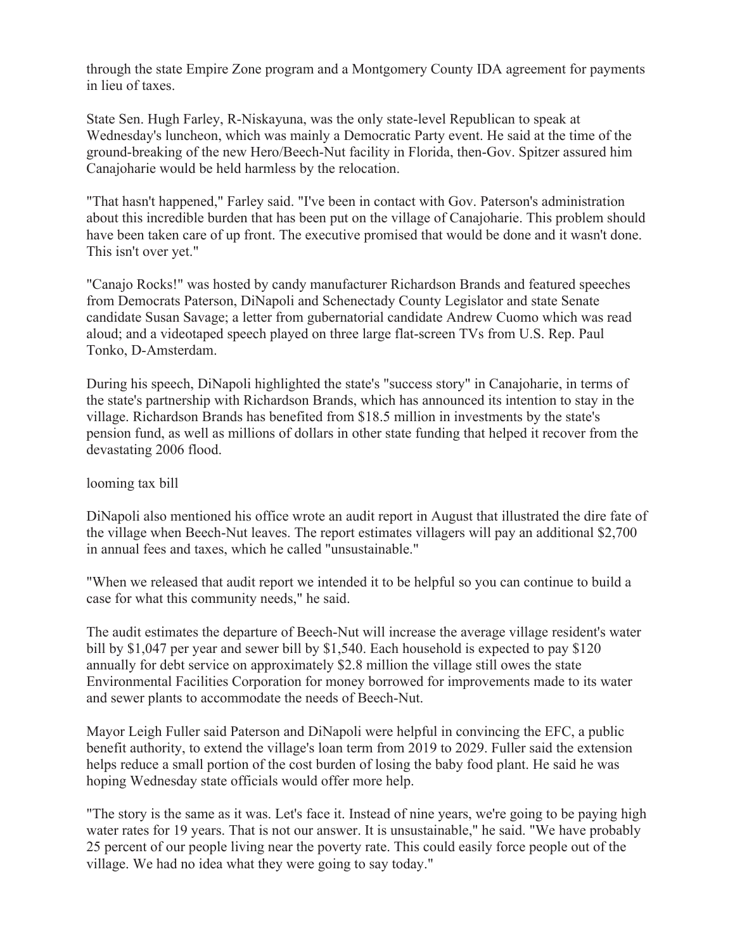through the state Empire Zone program and a Montgomery County IDA agreement for payments in lieu of taxes.

State Sen. Hugh Farley, R-Niskayuna, was the only state-level Republican to speak at Wednesday's luncheon, which was mainly a Democratic Party event. He said at the time of the ground-breaking of the new Hero/Beech-Nut facility in Florida, then-Gov. Spitzer assured him Canajoharie would be held harmless by the relocation.

"That hasn't happened," Farley said. "I've been in contact with Gov. Paterson's administration about this incredible burden that has been put on the village of Canajoharie. This problem should have been taken care of up front. The executive promised that would be done and it wasn't done. This isn't over yet."

"Canajo Rocks!" was hosted by candy manufacturer Richardson Brands and featured speeches from Democrats Paterson, DiNapoli and Schenectady County Legislator and state Senate candidate Susan Savage; a letter from gubernatorial candidate Andrew Cuomo which was read aloud; and a videotaped speech played on three large flat-screen TVs from U.S. Rep. Paul Tonko, D-Amsterdam.

During his speech, DiNapoli highlighted the state's "success story" in Canajoharie, in terms of the state's partnership with Richardson Brands, which has announced its intention to stay in the village. Richardson Brands has benefited from \$18.5 million in investments by the state's pension fund, as well as millions of dollars in other state funding that helped it recover from the devastating 2006 flood.

#### looming tax bill

DiNapoli also mentioned his office wrote an audit report in August that illustrated the dire fate of the village when Beech-Nut leaves. The report estimates villagers will pay an additional \$2,700 in annual fees and taxes, which he called "unsustainable."

"When we released that audit report we intended it to be helpful so you can continue to build a case for what this community needs," he said.

The audit estimates the departure of Beech-Nut will increase the average village resident's water bill by \$1,047 per year and sewer bill by \$1,540. Each household is expected to pay \$120 annually for debt service on approximately \$2.8 million the village still owes the state Environmental Facilities Corporation for money borrowed for improvements made to its water and sewer plants to accommodate the needs of Beech-Nut.

Mayor Leigh Fuller said Paterson and DiNapoli were helpful in convincing the EFC, a public benefit authority, to extend the village's loan term from 2019 to 2029. Fuller said the extension helps reduce a small portion of the cost burden of losing the baby food plant. He said he was hoping Wednesday state officials would offer more help.

"The story is the same as it was. Let's face it. Instead of nine years, we're going to be paying high water rates for 19 years. That is not our answer. It is unsustainable," he said. "We have probably 25 percent of our people living near the poverty rate. This could easily force people out of the village. We had no idea what they were going to say today."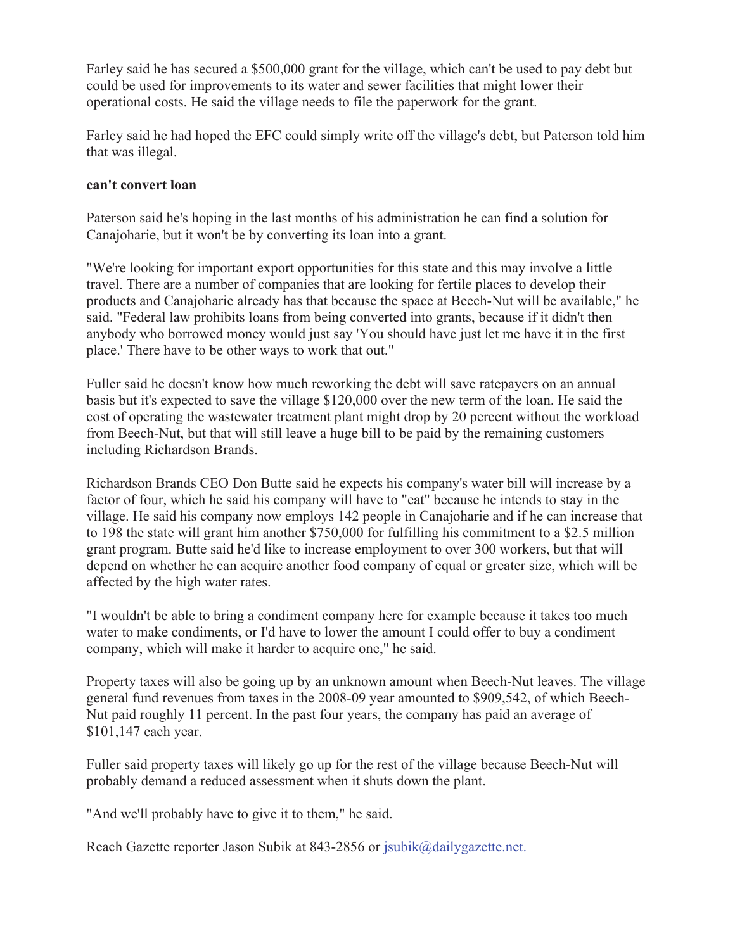Farley said he has secured a \$500,000 grant for the village, which can't be used to pay debt but could be used for improvements to its water and sewer facilities that might lower their operational costs. He said the village needs to file the paperwork for the grant.

Farley said he had hoped the EFC could simply write off the village's debt, but Paterson told him that was illegal.

#### **can't convert loan**

Paterson said he's hoping in the last months of his administration he can find a solution for Canajoharie, but it won't be by converting its loan into a grant.

"We're looking for important export opportunities for this state and this may involve a little travel. There are a number of companies that are looking for fertile places to develop their products and Canajoharie already has that because the space at Beech-Nut will be available," he said. "Federal law prohibits loans from being converted into grants, because if it didn't then anybody who borrowed money would just say 'You should have just let me have it in the first place.' There have to be other ways to work that out."

Fuller said he doesn't know how much reworking the debt will save ratepayers on an annual basis but it's expected to save the village \$120,000 over the new term of the loan. He said the cost of operating the wastewater treatment plant might drop by 20 percent without the workload from Beech-Nut, but that will still leave a huge bill to be paid by the remaining customers including Richardson Brands.

Richardson Brands CEO Don Butte said he expects his company's water bill will increase by a factor of four, which he said his company will have to "eat" because he intends to stay in the village. He said his company now employs 142 people in Canajoharie and if he can increase that to 198 the state will grant him another \$750,000 for fulfilling his commitment to a \$2.5 million grant program. Butte said he'd like to increase employment to over 300 workers, but that will depend on whether he can acquire another food company of equal or greater size, which will be affected by the high water rates.

"I wouldn't be able to bring a condiment company here for example because it takes too much water to make condiments, or I'd have to lower the amount I could offer to buy a condiment company, which will make it harder to acquire one," he said.

Property taxes will also be going up by an unknown amount when Beech-Nut leaves. The village general fund revenues from taxes in the 2008-09 year amounted to \$909,542, of which Beech-Nut paid roughly 11 percent. In the past four years, the company has paid an average of \$101,147 each year.

Fuller said property taxes will likely go up for the rest of the village because Beech-Nut will probably demand a reduced assessment when it shuts down the plant.

"And we'll probably have to give it to them," he said.

Reach Gazette reporter Jason Subik at 843-2856 or jsubik@dailygazette.net.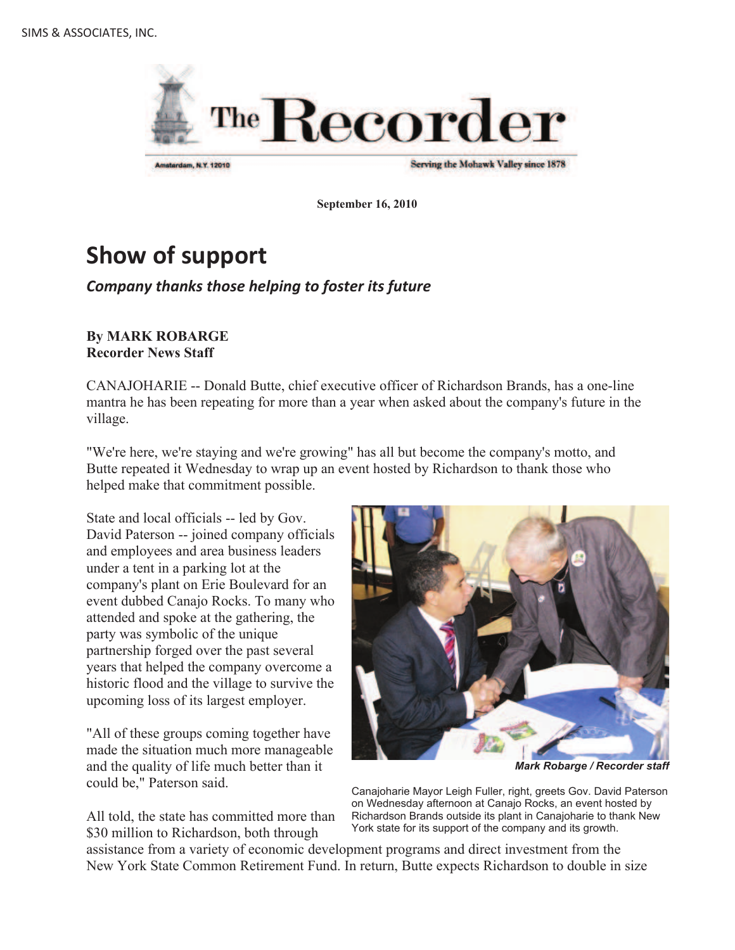

Serving the Mohawk Valley since 1878

**September 16, 2010**

# **Show of support**

#### *Company thanks those helping to foster its future*

#### **By MARK ROBARGE Recorder News Staff**

CANAJOHARIE -- Donald Butte, chief executive officer of Richardson Brands, has a one-line mantra he has been repeating for more than a year when asked about the company's future in the village.

"We're here, we're staying and we're growing" has all but become the company's motto, and Butte repeated it Wednesday to wrap up an event hosted by Richardson to thank those who helped make that commitment possible.

State and local officials -- led by Gov. David Paterson -- joined company officials and employees and area business leaders under a tent in a parking lot at the company's plant on Erie Boulevard for an event dubbed Canajo Rocks. To many who attended and spoke at the gathering, the party was symbolic of the unique partnership forged over the past several years that helped the company overcome a historic flood and the village to survive the upcoming loss of its largest employer.

"All of these groups coming together have made the situation much more manageable and the quality of life much better than it could be," Paterson said.

All told, the state has committed more than \$30 million to Richardson, both through



*Mark Robarge / Recorder staff*

Canajoharie Mayor Leigh Fuller, right, greets Gov. David Paterson on Wednesday afternoon at Canajo Rocks, an event hosted by Richardson Brands outside its plant in Canajoharie to thank New York state for its support of the company and its growth.

assistance from a variety of economic development programs and direct investment from the New York State Common Retirement Fund. In return, Butte expects Richardson to double in size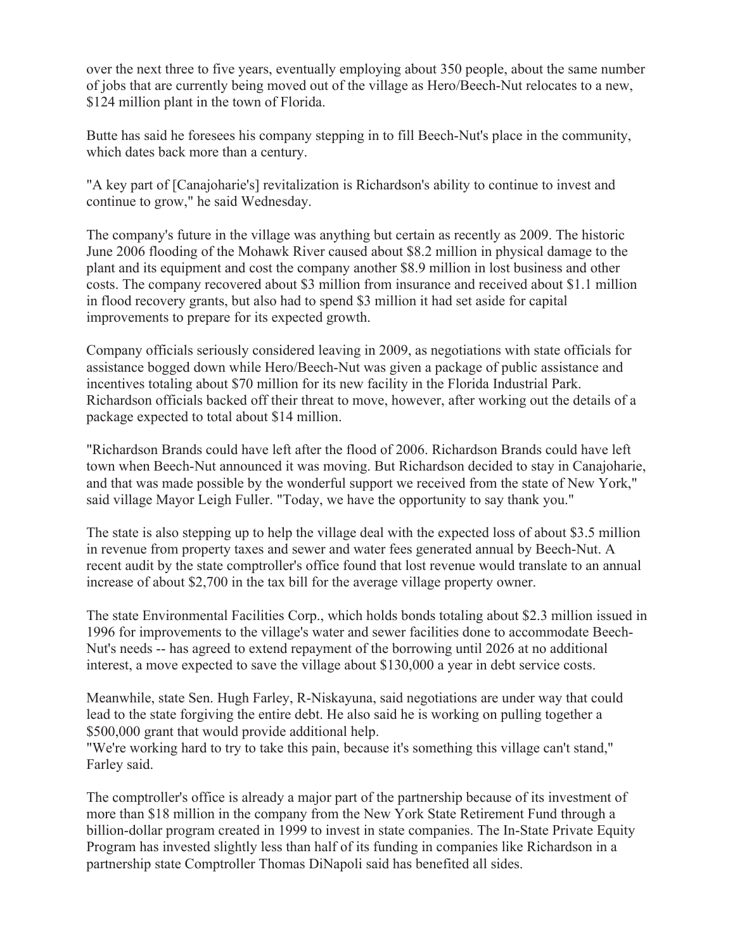over the next three to five years, eventually employing about 350 people, about the same number of jobs that are currently being moved out of the village as Hero/Beech-Nut relocates to a new, \$124 million plant in the town of Florida.

Butte has said he foresees his company stepping in to fill Beech-Nut's place in the community, which dates back more than a century.

"A key part of [Canajoharie's] revitalization is Richardson's ability to continue to invest and continue to grow," he said Wednesday.

The company's future in the village was anything but certain as recently as 2009. The historic June 2006 flooding of the Mohawk River caused about \$8.2 million in physical damage to the plant and its equipment and cost the company another \$8.9 million in lost business and other costs. The company recovered about \$3 million from insurance and received about \$1.1 million in flood recovery grants, but also had to spend \$3 million it had set aside for capital improvements to prepare for its expected growth.

Company officials seriously considered leaving in 2009, as negotiations with state officials for assistance bogged down while Hero/Beech-Nut was given a package of public assistance and incentives totaling about \$70 million for its new facility in the Florida Industrial Park. Richardson officials backed off their threat to move, however, after working out the details of a package expected to total about \$14 million.

"Richardson Brands could have left after the flood of 2006. Richardson Brands could have left town when Beech-Nut announced it was moving. But Richardson decided to stay in Canajoharie, and that was made possible by the wonderful support we received from the state of New York," said village Mayor Leigh Fuller. "Today, we have the opportunity to say thank you."

The state is also stepping up to help the village deal with the expected loss of about \$3.5 million in revenue from property taxes and sewer and water fees generated annual by Beech-Nut. A recent audit by the state comptroller's office found that lost revenue would translate to an annual increase of about \$2,700 in the tax bill for the average village property owner.

The state Environmental Facilities Corp., which holds bonds totaling about \$2.3 million issued in 1996 for improvements to the village's water and sewer facilities done to accommodate Beech-Nut's needs -- has agreed to extend repayment of the borrowing until 2026 at no additional interest, a move expected to save the village about \$130,000 a year in debt service costs.

Meanwhile, state Sen. Hugh Farley, R-Niskayuna, said negotiations are under way that could lead to the state forgiving the entire debt. He also said he is working on pulling together a \$500,000 grant that would provide additional help.

"We're working hard to try to take this pain, because it's something this village can't stand," Farley said.

The comptroller's office is already a major part of the partnership because of its investment of more than \$18 million in the company from the New York State Retirement Fund through a billion-dollar program created in 1999 to invest in state companies. The In-State Private Equity Program has invested slightly less than half of its funding in companies like Richardson in a partnership state Comptroller Thomas DiNapoli said has benefited all sides.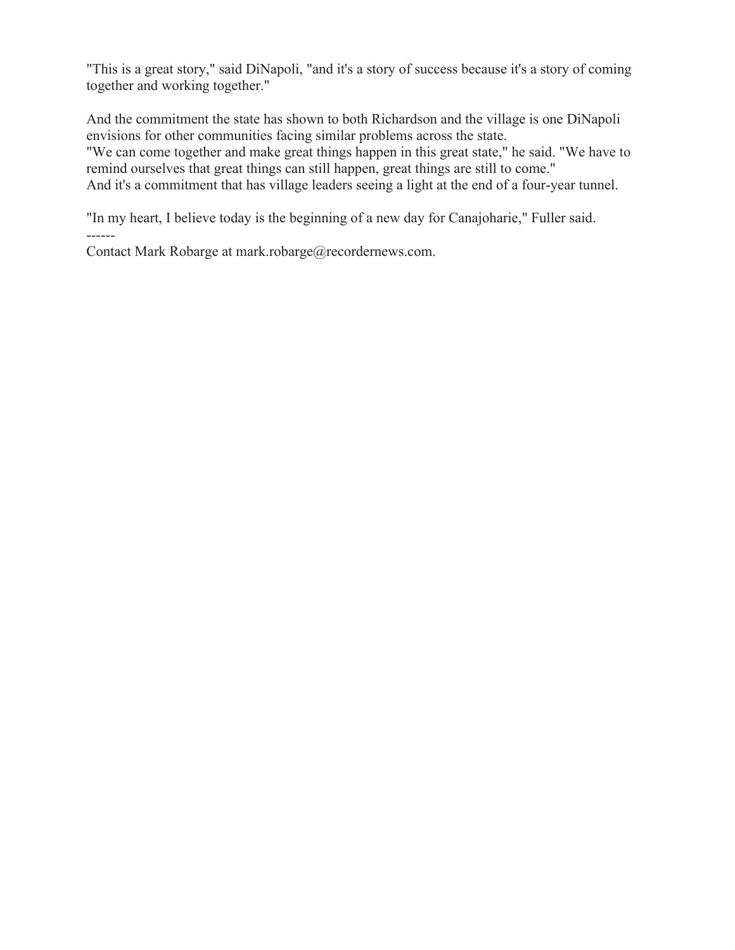"This is a great story," said DiNapoli, "and it's a story of success because it's a story of coming together and working together."

And the commitment the state has shown to both Richardson and the village is one DiNapoli envisions for other communities facing similar problems across the state. "We can come together and make great things happen in this great state," he said. "We have to remind ourselves that great things can still happen, great things are still to come." And it's a commitment that has village leaders seeing a light at the end of a four-year tunnel.

"In my heart, I believe today is the beginning of a new day for Canajoharie," Fuller said.

Contact Mark Robarge at mark.robarge@recordernews.com.

------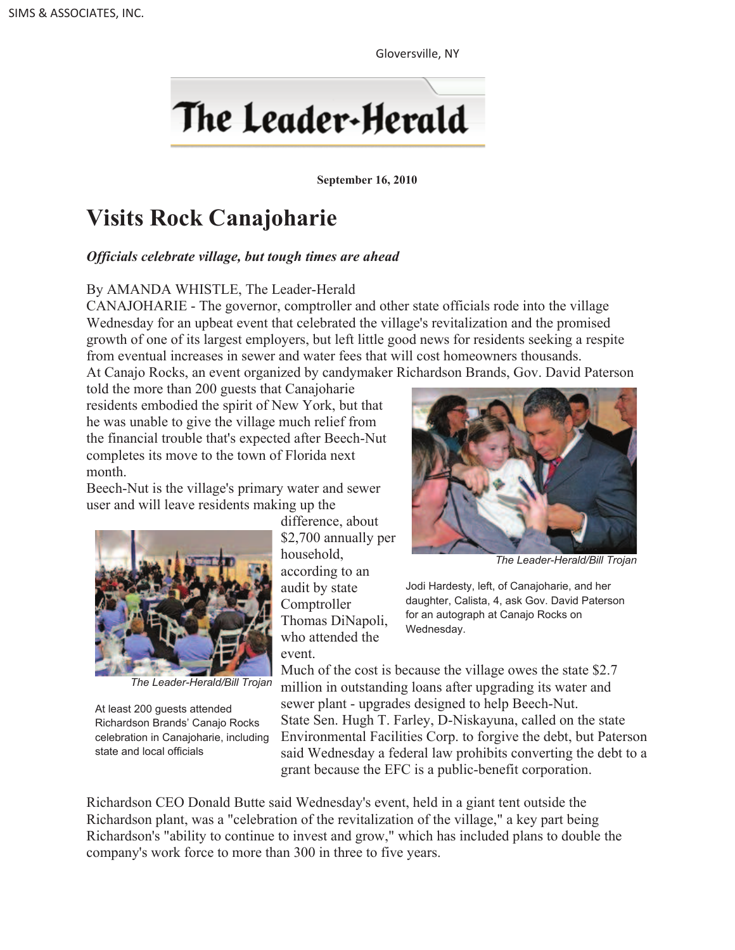Gloversville, NY



**September 16, 2010**

# **Visits Rock Canajoharie**

#### *Officials celebrate village, but tough times are ahead*

#### By AMANDA WHISTLE, The Leader-Herald

CANAJOHARIE - The governor, comptroller and other state officials rode into the village Wednesday for an upbeat event that celebrated the village's revitalization and the promised growth of one of its largest employers, but left little good news for residents seeking a respite from eventual increases in sewer and water fees that will cost homeowners thousands. At Canajo Rocks, an event organized by candymaker Richardson Brands, Gov. David Paterson

told the more than 200 guests that Canajoharie residents embodied the spirit of New York, but that he was unable to give the village much relief from the financial trouble that's expected after Beech-Nut completes its move to the town of Florida next month.

Beech-Nut is the village's primary water and sewer user and will leave residents making up the



*The Leader-Herald/Bill Trojan*

At least 200 guests attended Richardson Brands' Canajo Rocks celebration in Canajoharie, including state and local officials

difference, about \$2,700 annually per household, according to an audit by state **Comptroller** Thomas DiNapoli, who attended the event.



*The Leader-Herald/Bill Trojan*

Jodi Hardesty, left, of Canajoharie, and her daughter, Calista, 4, ask Gov. David Paterson for an autograph at Canajo Rocks on Wednesday.

Much of the cost is because the village owes the state \$2.7 million in outstanding loans after upgrading its water and sewer plant - upgrades designed to help Beech-Nut. State Sen. Hugh T. Farley, D-Niskayuna, called on the state Environmental Facilities Corp. to forgive the debt, but Paterson said Wednesday a federal law prohibits converting the debt to a grant because the EFC is a public-benefit corporation.

Richardson CEO Donald Butte said Wednesday's event, held in a giant tent outside the Richardson plant, was a "celebration of the revitalization of the village," a key part being Richardson's "ability to continue to invest and grow," which has included plans to double the company's work force to more than 300 in three to five years.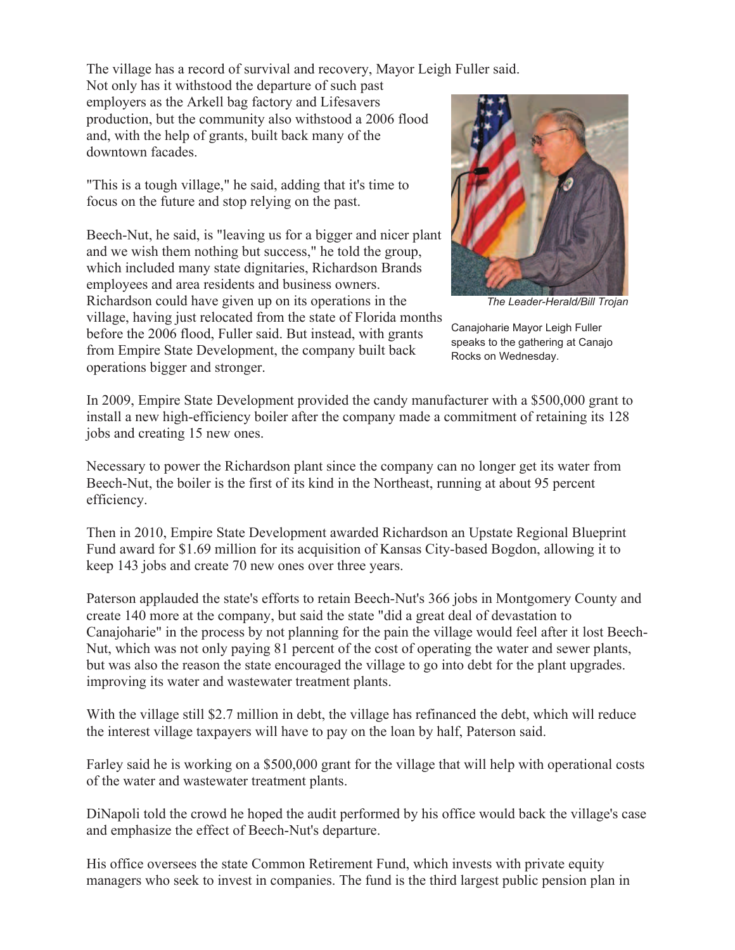The village has a record of survival and recovery, Mayor Leigh Fuller said.

Not only has it withstood the departure of such past employers as the Arkell bag factory and Lifesavers production, but the community also withstood a 2006 flood and, with the help of grants, built back many of the downtown facades.

"This is a tough village," he said, adding that it's time to focus on the future and stop relying on the past.

Beech-Nut, he said, is "leaving us for a bigger and nicer plant and we wish them nothing but success," he told the group, which included many state dignitaries, Richardson Brands employees and area residents and business owners. Richardson could have given up on its operations in the village, having just relocated from the state of Florida months before the 2006 flood, Fuller said. But instead, with grants from Empire State Development, the company built back operations bigger and stronger.



*The Leader-Herald/Bill Trojan*

Canajoharie Mayor Leigh Fuller speaks to the gathering at Canajo Rocks on Wednesday.

In 2009, Empire State Development provided the candy manufacturer with a \$500,000 grant to install a new high-efficiency boiler after the company made a commitment of retaining its 128 jobs and creating 15 new ones.

Necessary to power the Richardson plant since the company can no longer get its water from Beech-Nut, the boiler is the first of its kind in the Northeast, running at about 95 percent efficiency.

Then in 2010, Empire State Development awarded Richardson an Upstate Regional Blueprint Fund award for \$1.69 million for its acquisition of Kansas City-based Bogdon, allowing it to keep 143 jobs and create 70 new ones over three years.

Paterson applauded the state's efforts to retain Beech-Nut's 366 jobs in Montgomery County and create 140 more at the company, but said the state "did a great deal of devastation to Canajoharie" in the process by not planning for the pain the village would feel after it lost Beech-Nut, which was not only paying 81 percent of the cost of operating the water and sewer plants, but was also the reason the state encouraged the village to go into debt for the plant upgrades. improving its water and wastewater treatment plants.

With the village still \$2.7 million in debt, the village has refinanced the debt, which will reduce the interest village taxpayers will have to pay on the loan by half, Paterson said.

Farley said he is working on a \$500,000 grant for the village that will help with operational costs of the water and wastewater treatment plants.

DiNapoli told the crowd he hoped the audit performed by his office would back the village's case and emphasize the effect of Beech-Nut's departure.

His office oversees the state Common Retirement Fund, which invests with private equity managers who seek to invest in companies. The fund is the third largest public pension plan in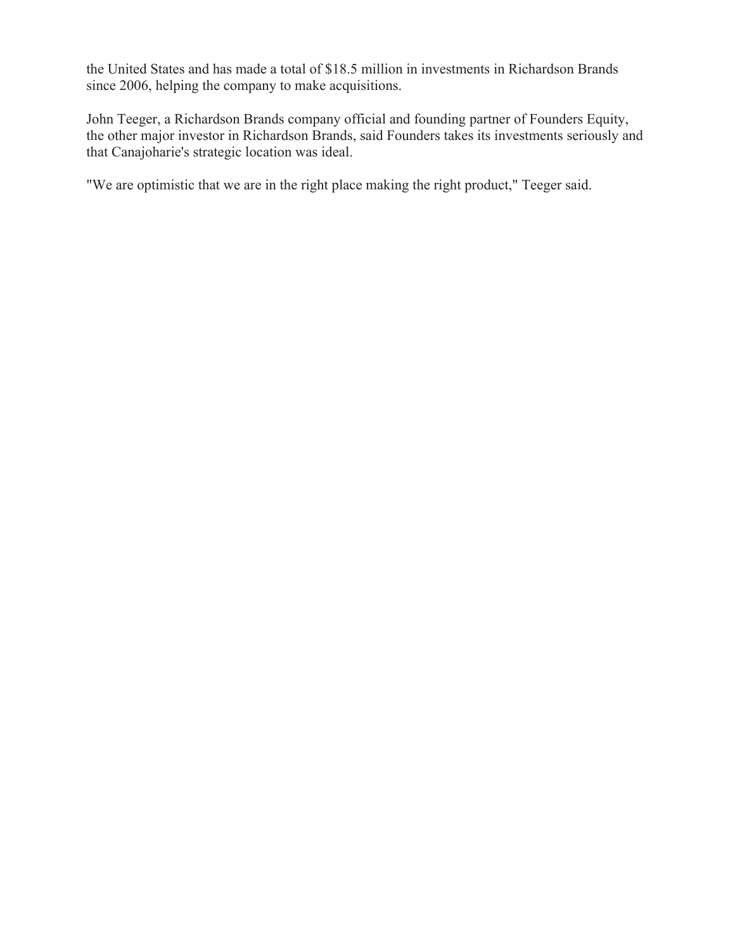the United States and has made a total of \$18.5 million in investments in Richardson Brands since 2006, helping the company to make acquisitions.

John Teeger, a Richardson Brands company official and founding partner of Founders Equity, the other major investor in Richardson Brands, said Founders takes its investments seriously and that Canajoharie's strategic location was ideal.

"We are optimistic that we are in the right place making the right product," Teeger said.